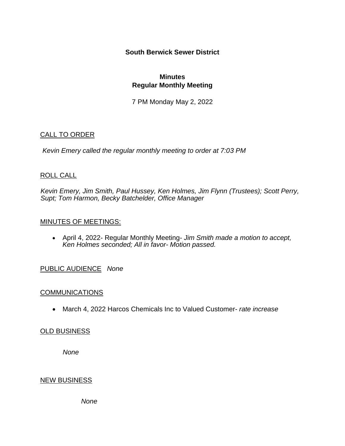## **South Berwick Sewer District**

## **Minutes Regular Monthly Meeting**

7 PM Monday May 2, 2022

## CALL TO ORDER

*Kevin Emery called the regular monthly meeting to order at 7:03 PM*

## ROLL CALL

*Kevin Emery, Jim Smith, Paul Hussey, Ken Holmes, Jim Flynn (Trustees); Scott Perry, Supt; Tom Harmon, Becky Batchelder, Office Manager*

## MINUTES OF MEETINGS:

• April 4, 2022- Regular Monthly Meeting- *Jim Smith made a motion to accept, Ken Holmes seconded; All in favor- Motion passed.*

# PUBLIC AUDIENCE *None*

## **COMMUNICATIONS**

• March 4, 2022 Harcos Chemicals Inc to Valued Customer- *rate increase*

# **OLD BUSINESS**

*None*

## NEW BUSINESS

*None*